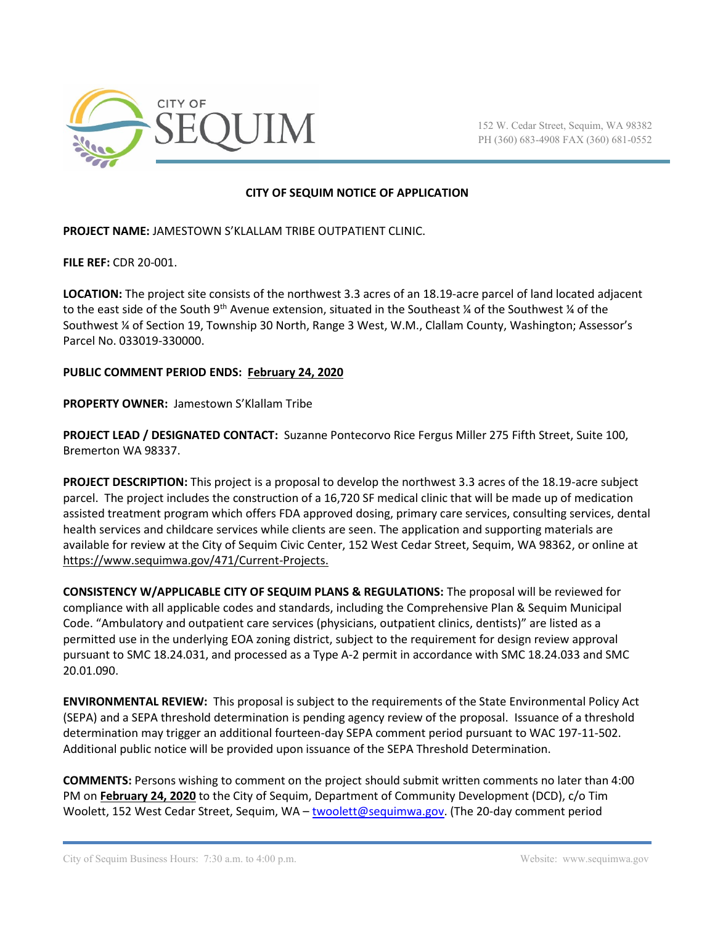

152 W. Cedar Street, Sequim, WA 98382 PH (360) 683-4908 FAX (360) 681-0552

## **CITY OF SEQUIM NOTICE OF APPLICATION**

**PROJECT NAME:** JAMESTOWN S'KLALLAM TRIBE OUTPATIENT CLINIC.

**FILE REF:** CDR 20-001.

**LOCATION:** The project site consists of the northwest 3.3 acres of an 18.19-acre parcel of land located adjacent to the east side of the South 9<sup>th</sup> Avenue extension, situated in the Southeast ¼ of the Southwest ¼ of the Southwest ¼ of Section 19, Township 30 North, Range 3 West, W.M., Clallam County, Washington; Assessor's Parcel No. 033019-330000.

## **PUBLIC COMMENT PERIOD ENDS: February 24, 2020**

**PROPERTY OWNER:** Jamestown S'Klallam Tribe

**PROJECT LEAD / DESIGNATED CONTACT:** Suzanne Pontecorvo Rice Fergus Miller 275 Fifth Street, Suite 100, Bremerton WA 98337.

**PROJECT DESCRIPTION:** This project is a proposal to develop the northwest 3.3 acres of the 18.19-acre subject parcel. The project includes the construction of a 16,720 SF medical clinic that will be made up of medication assisted treatment program which offers FDA approved dosing, primary care services, consulting services, dental health services and childcare services while clients are seen. The application and supporting materials are available for review at the City of Sequim Civic Center, 152 West Cedar Street, Sequim, WA 98362, or online at https://www.sequimwa.gov/471/Current-Projects.

**CONSISTENCY W/APPLICABLE CITY OF SEQUIM PLANS & REGULATIONS:** The proposal will be reviewed for compliance with all applicable codes and standards, including the Comprehensive Plan & Sequim Municipal Code. "Ambulatory and outpatient care services (physicians, outpatient clinics, dentists)" are listed as a permitted use in the underlying EOA zoning district, subject to the requirement for design review approval pursuant to SMC 18.24.031, and processed as a Type A-2 permit in accordance with SMC 18.24.033 and SMC 20.01.090.

**ENVIRONMENTAL REVIEW:** This proposal is subject to the requirements of the State Environmental Policy Act (SEPA) and a SEPA threshold determination is pending agency review of the proposal. Issuance of a threshold determination may trigger an additional fourteen-day SEPA comment period pursuant to WAC 197-11-502. Additional public notice will be provided upon issuance of the SEPA Threshold Determination.

**COMMENTS:** Persons wishing to comment on the project should submit written comments no later than 4:00 PM on **February 24, 2020** to the City of Sequim, Department of Community Development (DCD), c/o Tim Woolett, 152 West Cedar Street, Sequim, WA – [twoolett@sequimwa.gov.](mailto:twoolett@sequimwa.gov) (The 20-day comment period

City of Sequim Business Hours: 7:30 a.m. to 4:00 p.m. Website: www.sequimwa.gov